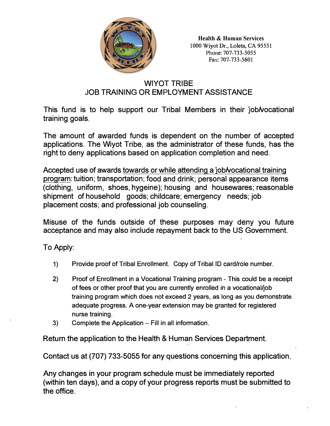

**Health & Human Services** 1000 Wiyot Dr., Loleta, CA 95551 Phone: 707-733-5055 Fax: 707-733-5601

# WIYOT TRIBE JOB TRAINING OR EMPLOYMENT ASSISTANCE

This fund is to help support our Tribal Members in their lob wocational training goals.

The amount of awarded funds is dependent on the number of accepted applications. The Wiyot Tribe, as the administrator of these funds, has the right to deny applications based on application completion and need.

Accepted use of awards towards or while attending a *job/vocational training* program: tuition; transportation; food and drink; personal appearance items (clothing, uniform, shoes, hygeine); housing and housewares; reasonable shipment of household goods; childcare; emergency needs; job placement costs; and professional job counseling.

Misuse of the funds outside of these purposes may deny you future acceptance and may also include repayment back to the US Government.

To Apply:

- 1) Provide proof of Tribal Enrollment. Copy of Tribal ID card/role number.
- 2) Proof of Enrollment in a Vocational Training program - This could be a receipt of fees or other proof that you are currently enrolled in a vocational/job training program which does not exceed 2 years, as long as you demonstrate adequate progress. A one-year extension may be granted for registered nurse training.
- . 3) Complete the Application  $-$  Fill in all information.

Return the application to the Health & Human Services Department.

Contact us at (707) 733-5055 for any questions concerning this application.

Any changes in your program schedule must be immediately reported (within ten days), and a copy of your progress reports must be submitted to the office.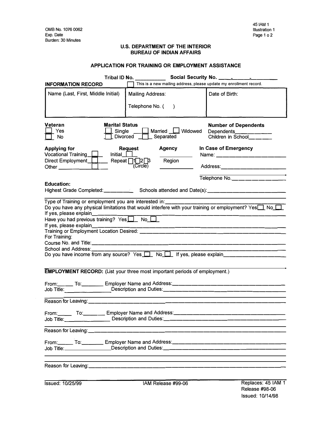## **U.S. DEPARTMENT OF THE INTERIOR BUREAU OF INDIAN AFFAIRS**

### **APPLICATION FOR TRAINING OR EMPLOYMENT ASSISTANCE**

| Tribal ID No.<br>Social Security No. ______________                                                                                                                                                                                                                                                                    |                                                                                  |                                                                                                                                        |  |  |
|------------------------------------------------------------------------------------------------------------------------------------------------------------------------------------------------------------------------------------------------------------------------------------------------------------------------|----------------------------------------------------------------------------------|----------------------------------------------------------------------------------------------------------------------------------------|--|--|
| <b>INFORMATION RECORD</b>                                                                                                                                                                                                                                                                                              | This is a new mailing address, please update my enrollment record.               |                                                                                                                                        |  |  |
| Name (Last, First, Middle Initial)                                                                                                                                                                                                                                                                                     | <b>Mailing Address:</b><br>Telephone No. (<br>$\overline{\phantom{a}}$           | Date of Birth:                                                                                                                         |  |  |
| Veteran<br><b>Marital Status</b><br>Yes<br>Single __<br>No                                                                                                                                                                                                                                                             | Married $\boxed{\phantom{a}}$ Widowed<br>_Divorced _<br>Separated                | <b>Number of Dependents</b><br>Dependents<br>Children in School_______                                                                 |  |  |
| <b>Applying for</b><br>Vocational Training $\boxed{\phantom{a}}$<br>Initial<br>Direct Employment_L_I                                                                                                                                                                                                                   | <b>Request</b><br><b>Agency</b><br>Repeat 112 <sup>1</sup><br>Region<br>(Circle) | In Case of Emergency<br>Name: _________________<br>Address:____________________                                                        |  |  |
|                                                                                                                                                                                                                                                                                                                        |                                                                                  | <u> 1980 - Andrea Andrea Andrea Andrea Andrea Andrea Andrea Andrea Andrea Andrea Andrea Andrea Andrea Andrea Andr</u><br>Telephone No. |  |  |
| <b>Education:</b>                                                                                                                                                                                                                                                                                                      |                                                                                  |                                                                                                                                        |  |  |
| Type of Training or employment you are interested in: ____________<br>Do you have any physical limitations that would interfere with your training or employment? Yes $\Box$ No $\Box$<br>If yes, please explain______<br>Have you had previous training? Yes No<br>For Training:<br>School and Address: _____________ |                                                                                  |                                                                                                                                        |  |  |
| <b>EMPLOYMENT RECORD:</b> (List your three most important periods of employment.)                                                                                                                                                                                                                                      |                                                                                  |                                                                                                                                        |  |  |
| From: To: Community Employer Name and Address: Community Community To: Community Employer Name and Address: Co<br>Job Title: <u>Description and Duties: __________________________________</u>                                                                                                                         |                                                                                  |                                                                                                                                        |  |  |
|                                                                                                                                                                                                                                                                                                                        |                                                                                  |                                                                                                                                        |  |  |
| From: To: Comedia Lemployer Name and Address:                                                                                                                                                                                                                                                                          |                                                                                  | <u> 1980 - An Dùbhlachd ann an Dùbhlachd ann an Dùbhlachd ann an Dùbhlachd ann an Dùbhlachd ann an Dùbhlachd ann a</u>                 |  |  |
| Reason for Leaving: ____________________________                                                                                                                                                                                                                                                                       |                                                                                  |                                                                                                                                        |  |  |
|                                                                                                                                                                                                                                                                                                                        |                                                                                  |                                                                                                                                        |  |  |
|                                                                                                                                                                                                                                                                                                                        |                                                                                  |                                                                                                                                        |  |  |